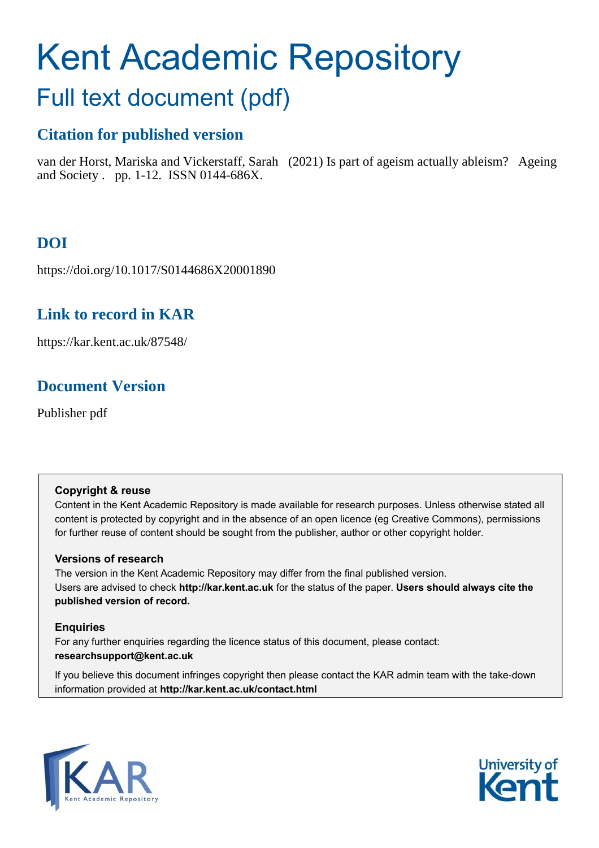# Kent Academic Repository

## Full text document (pdf)

## **Citation for published version**

van der Horst, Mariska and Vickerstaff, Sarah (2021) Is part of ageism actually ableism? Ageing and Society . pp. 1-12. ISSN 0144-686X.

## **DOI**

https://doi.org/10.1017/S0144686X20001890

## **Link to record in KAR**

https://kar.kent.ac.uk/87548/

## **Document Version**

Publisher pdf

#### **Copyright & reuse**

Content in the Kent Academic Repository is made available for research purposes. Unless otherwise stated all content is protected by copyright and in the absence of an open licence (eg Creative Commons), permissions for further reuse of content should be sought from the publisher, author or other copyright holder.

#### **Versions of research**

The version in the Kent Academic Repository may differ from the final published version. Users are advised to check **http://kar.kent.ac.uk** for the status of the paper. **Users should always cite the published version of record.**

#### **Enquiries**

For any further enquiries regarding the licence status of this document, please contact: **researchsupport@kent.ac.uk**

If you believe this document infringes copyright then please contact the KAR admin team with the take-down information provided at **http://kar.kent.ac.uk/contact.html**



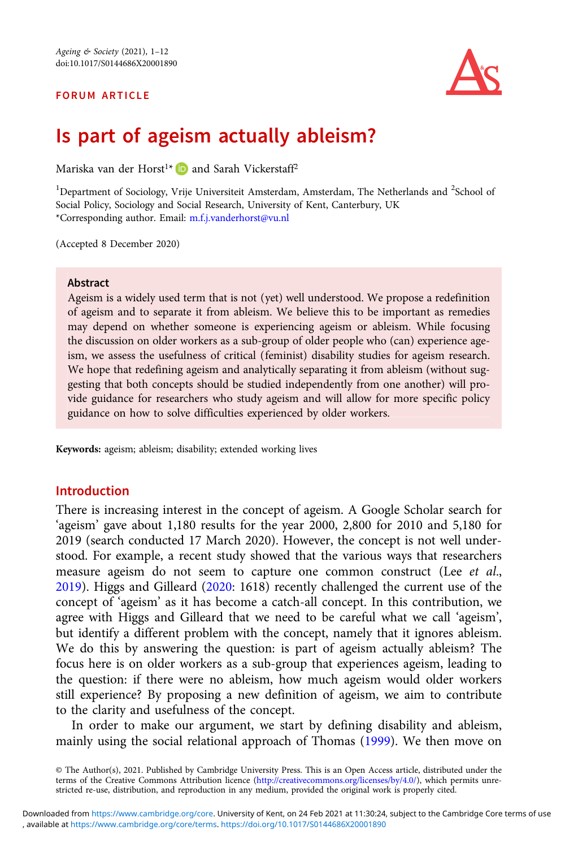#### FORUM ARTICLE



### Is part of ageism actually ableism?

Mariska van der Horst<sup>1\*</sup> D and Sarah Vickerstaff<sup>2</sup>

<sup>1</sup>Department of Sociology, Vrije Universiteit Amsterdam, Amsterdam, The Netherlands and <sup>2</sup>School of Social Policy, Sociology and Social Research, University of Kent, Canterbury, UK \*Corresponding author. Email: [m.f.j.vanderhorst@vu.nl](mailto:m.f.j.vanderhorst@vu.nl)

(Accepted 8 December 2020)

#### Abstract

Ageism is a widely used term that is not (yet) well understood. We propose a redefinition of ageism and to separate it from ableism. We believe this to be important as remedies may depend on whether someone is experiencing ageism or ableism. While focusing the discussion on older workers as a sub-group of older people who (can) experience ageism, we assess the usefulness of critical (feminist) disability studies for ageism research. We hope that redefining ageism and analytically separating it from ableism (without suggesting that both concepts should be studied independently from one another) will provide guidance for researchers who study ageism and will allow for more specific policy guidance on how to solve difficulties experienced by older workers.

Keywords: ageism; ableism; disability; extended working lives

#### Introduction

There is increasing interest in the concept of ageism. A Google Scholar search for 'ageism' gave about 1,180 results for the year 2000, 2,800 for 2010 and 5,180 for 2019 (search conducted 17 March 2020). However, the concept is not well understood. For example, a recent study showed that the various ways that researchers measure ageism do not seem to capture one common construct (Lee *et al.*, 2019). Higgs and Gilleard (2020: 1618) recently challenged the current use of the concept of 'ageism' as it has become a catch-all concept. In this contribution, we agree with Higgs and Gilleard that we need to be careful what we call 'ageism', but identify a different problem with the concept, namely that it ignores ableism. We do this by answering the question: is part of ageism actually ableism? The focus here is on older workers as a sub-group that experiences ageism, leading to the question: if there were no ableism, how much ageism would older workers still experience? By proposing a new definition of ageism, we aim to contribute to the clarity and usefulness of the concept.

In order to make our argument, we start by defining disability and ableism, mainly using the social relational approach of Thomas (1999). We then move on

© The Author(s), 2021. Published by Cambridge University Press. This is an Open Access article, distributed under the terms of the Creative Commons Attribution licence ([http://creativecommons.org/licenses/by/4.0/\)](http://creativecommons.org/licenses/by/4.0/), which permits unrestricted re-use, distribution, and reproduction in any medium, provided the original work is properly cited.

, available at <https://www.cambridge.org/core/terms>. <https://doi.org/10.1017/S0144686X20001890> Downloaded from [https://www.cambridge.org/core.](https://www.cambridge.org/core) University of Kent, on 24 Feb 2021 at 11:30:24, subject to the Cambridge Core terms of use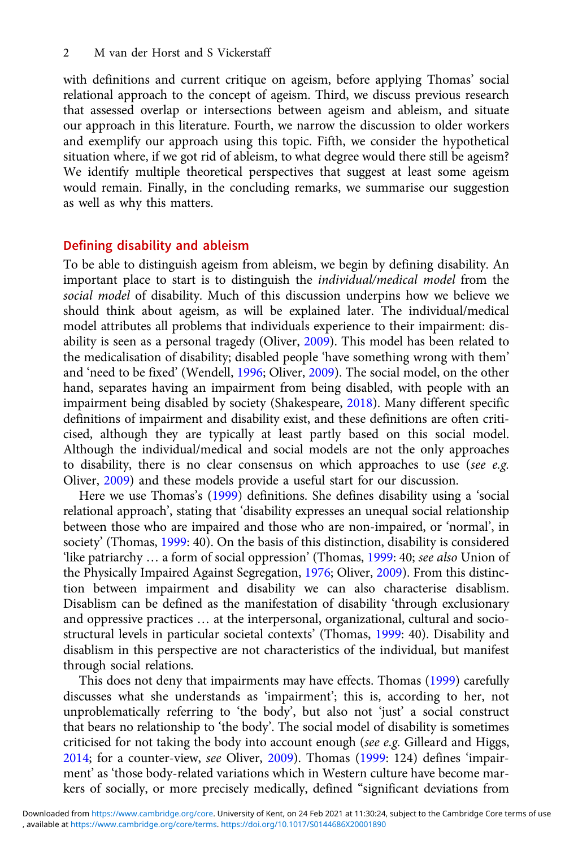with definitions and current critique on ageism, before applying Thomas' social relational approach to the concept of ageism. Third, we discuss previous research that assessed overlap or intersections between ageism and ableism, and situate our approach in this literature. Fourth, we narrow the discussion to older workers and exemplify our approach using this topic. Fifth, we consider the hypothetical situation where, if we got rid of ableism, to what degree would there still be ageism? We identify multiple theoretical perspectives that suggest at least some ageism would remain. Finally, in the concluding remarks, we summarise our suggestion as well as why this matters.

#### Defining disability and ableism

To be able to distinguish ageism from ableism, we begin by defining disability. An important place to start is to distinguish the individual/medical model from the social model of disability. Much of this discussion underpins how we believe we should think about ageism, as will be explained later. The individual/medical model attributes all problems that individuals experience to their impairment: disability is seen as a personal tragedy (Oliver, 2009). This model has been related to the medicalisation of disability; disabled people 'have something wrong with them' and 'need to be fixed' (Wendell, 1996; Oliver, 2009). The social model, on the other hand, separates having an impairment from being disabled, with people with an impairment being disabled by society (Shakespeare, 2018). Many different specific definitions of impairment and disability exist, and these definitions are often criticised, although they are typically at least partly based on this social model. Although the individual/medical and social models are not the only approaches to disability, there is no clear consensus on which approaches to use (see e.g. Oliver, 2009) and these models provide a useful start for our discussion.

Here we use Thomas's (1999) definitions. She defines disability using a 'social relational approach', stating that 'disability expresses an unequal social relationship between those who are impaired and those who are non-impaired, or 'normal', in society' (Thomas, 1999: 40). On the basis of this distinction, disability is considered 'like patriarchy ... a form of social oppression' (Thomas, 1999: 40; see also Union of the Physically Impaired Against Segregation, 1976; Oliver, 2009). From this distinction between impairment and disability we can also characterise disablism. Disablism can be defined as the manifestation of disability 'through exclusionary and oppressive practices … at the interpersonal, organizational, cultural and sociostructural levels in particular societal contexts' (Thomas, 1999: 40). Disability and disablism in this perspective are not characteristics of the individual, but manifest through social relations.

This does not deny that impairments may have effects. Thomas (1999) carefully discusses what she understands as 'impairment'; this is, according to her, not unproblematically referring to 'the body', but also not 'just' a social construct that bears no relationship to 'the body'. The social model of disability is sometimes criticised for not taking the body into account enough (see e.g. Gilleard and Higgs, 2014; for a counter-view, see Oliver, 2009). Thomas (1999: 124) defines 'impairment' as 'those body-related variations which in Western culture have become markers of socially, or more precisely medically, defined "significant deviations from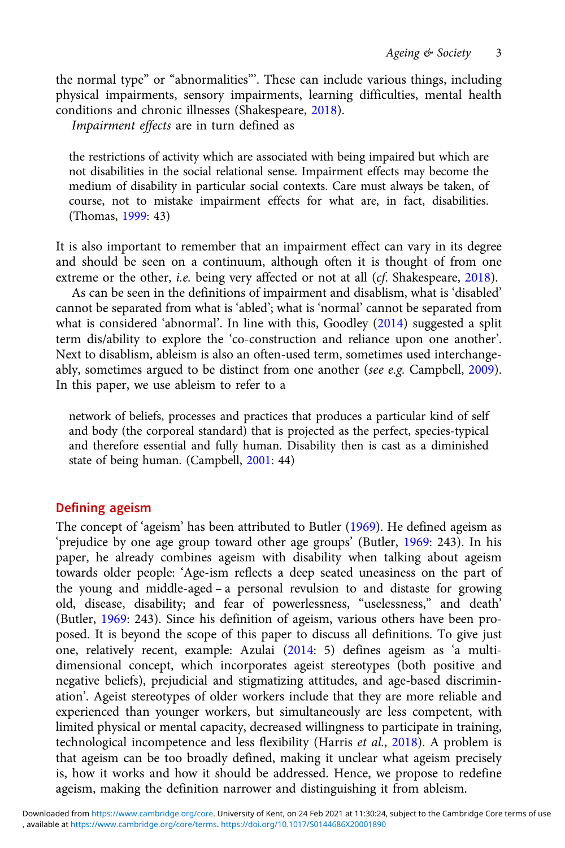the normal type" or "abnormalities"'. These can include various things, including physical impairments, sensory impairments, learning difficulties, mental health conditions and chronic illnesses (Shakespeare, 2018).

Impairment effects are in turn defined as

the restrictions of activity which are associated with being impaired but which are not disabilities in the social relational sense. Impairment effects may become the medium of disability in particular social contexts. Care must always be taken, of course, not to mistake impairment effects for what are, in fact, disabilities. (Thomas, 1999: 43)

It is also important to remember that an impairment effect can vary in its degree and should be seen on a continuum, although often it is thought of from one extreme or the other, *i.e.* being very affected or not at all (*cf.* Shakespeare, 2018).

As can be seen in the definitions of impairment and disablism, what is 'disabled' cannot be separated from what is 'abled'; what is 'normal' cannot be separated from what is considered 'abnormal'. In line with this, Goodley (2014) suggested a split term dis/ability to explore the 'co-construction and reliance upon one another'. Next to disablism, ableism is also an often-used term, sometimes used interchangeably, sometimes argued to be distinct from one another (see e.g. Campbell, 2009). In this paper, we use ableism to refer to a

network of beliefs, processes and practices that produces a particular kind of self and body (the corporeal standard) that is projected as the perfect, species-typical and therefore essential and fully human. Disability then is cast as a diminished state of being human. (Campbell, 2001: 44)

#### Defining ageism

The concept of 'ageism' has been attributed to Butler (1969). He defined ageism as 'prejudice by one age group toward other age groups' (Butler, 1969: 243). In his paper, he already combines ageism with disability when talking about ageism towards older people: 'Age-ism reflects a deep seated uneasiness on the part of the young and middle-aged – a personal revulsion to and distaste for growing old, disease, disability; and fear of powerlessness, "uselessness," and death' (Butler, 1969: 243). Since his definition of ageism, various others have been proposed. It is beyond the scope of this paper to discuss all definitions. To give just one, relatively recent, example: Azulai (2014: 5) defines ageism as 'a multidimensional concept, which incorporates ageist stereotypes (both positive and negative beliefs), prejudicial and stigmatizing attitudes, and age-based discrimination'. Ageist stereotypes of older workers include that they are more reliable and experienced than younger workers, but simultaneously are less competent, with limited physical or mental capacity, decreased willingness to participate in training, technological incompetence and less flexibility (Harris et al., 2018). A problem is that ageism can be too broadly defined, making it unclear what ageism precisely is, how it works and how it should be addressed. Hence, we propose to redefine ageism, making the definition narrower and distinguishing it from ableism.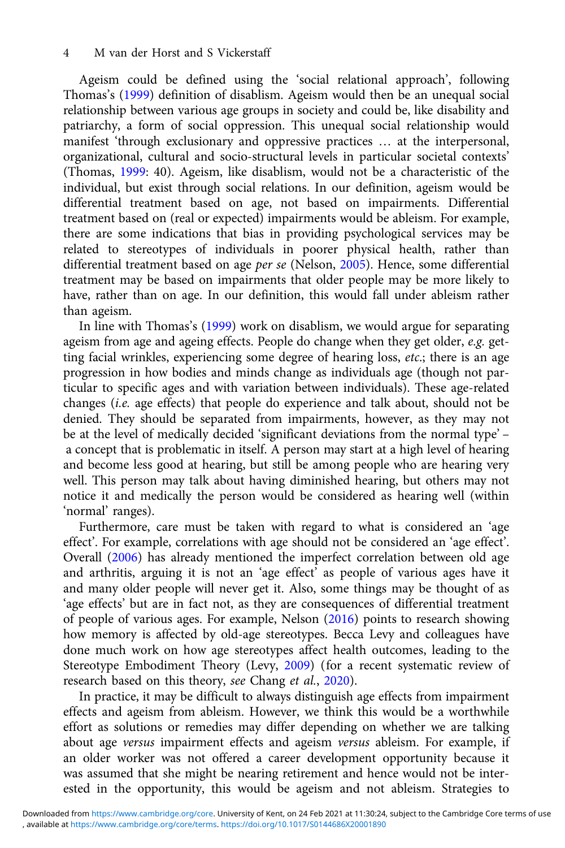Ageism could be defined using the 'social relational approach', following Thomas's (1999) definition of disablism. Ageism would then be an unequal social relationship between various age groups in society and could be, like disability and patriarchy, a form of social oppression. This unequal social relationship would manifest 'through exclusionary and oppressive practices … at the interpersonal, organizational, cultural and socio-structural levels in particular societal contexts' (Thomas, 1999: 40). Ageism, like disablism, would not be a characteristic of the individual, but exist through social relations. In our definition, ageism would be differential treatment based on age, not based on impairments. Differential treatment based on (real or expected) impairments would be ableism. For example, there are some indications that bias in providing psychological services may be related to stereotypes of individuals in poorer physical health, rather than differential treatment based on age per se (Nelson, 2005). Hence, some differential treatment may be based on impairments that older people may be more likely to have, rather than on age. In our definition, this would fall under ableism rather than ageism.

In line with Thomas's (1999) work on disablism, we would argue for separating ageism from age and ageing effects. People do change when they get older, e.g. getting facial wrinkles, experiencing some degree of hearing loss, etc.; there is an age progression in how bodies and minds change as individuals age (though not particular to specific ages and with variation between individuals). These age-related changes (i.e. age effects) that people do experience and talk about, should not be denied. They should be separated from impairments, however, as they may not be at the level of medically decided 'significant deviations from the normal type' – a concept that is problematic in itself. A person may start at a high level of hearing and become less good at hearing, but still be among people who are hearing very well. This person may talk about having diminished hearing, but others may not notice it and medically the person would be considered as hearing well (within 'normal' ranges).

Furthermore, care must be taken with regard to what is considered an 'age effect'. For example, correlations with age should not be considered an 'age effect'. Overall (2006) has already mentioned the imperfect correlation between old age and arthritis, arguing it is not an 'age effect' as people of various ages have it and many older people will never get it. Also, some things may be thought of as 'age effects' but are in fact not, as they are consequences of differential treatment of people of various ages. For example, Nelson (2016) points to research showing how memory is affected by old-age stereotypes. Becca Levy and colleagues have done much work on how age stereotypes affect health outcomes, leading to the Stereotype Embodiment Theory (Levy, 2009) (for a recent systematic review of research based on this theory, see Chang et al., 2020).

In practice, it may be difficult to always distinguish age effects from impairment effects and ageism from ableism. However, we think this would be a worthwhile effort as solutions or remedies may differ depending on whether we are talking about age versus impairment effects and ageism versus ableism. For example, if an older worker was not offered a career development opportunity because it was assumed that she might be nearing retirement and hence would not be interested in the opportunity, this would be ageism and not ableism. Strategies to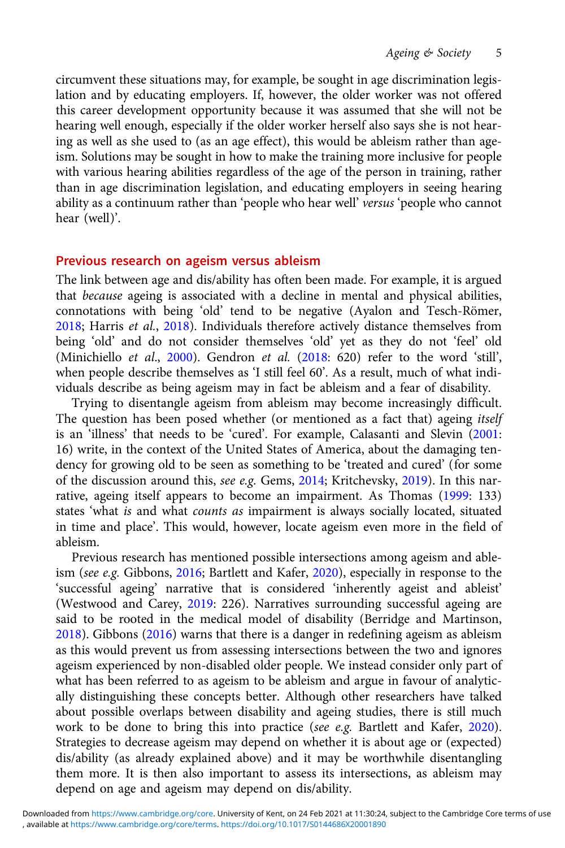circumvent these situations may, for example, be sought in age discrimination legislation and by educating employers. If, however, the older worker was not offered this career development opportunity because it was assumed that she will not be hearing well enough, especially if the older worker herself also says she is not hearing as well as she used to (as an age effect), this would be ableism rather than ageism. Solutions may be sought in how to make the training more inclusive for people with various hearing abilities regardless of the age of the person in training, rather than in age discrimination legislation, and educating employers in seeing hearing ability as a continuum rather than 'people who hear well' versus 'people who cannot hear (well)'.

#### Previous research on ageism versus ableism

The link between age and dis/ability has often been made. For example, it is argued that because ageing is associated with a decline in mental and physical abilities, connotations with being 'old' tend to be negative (Ayalon and Tesch-Römer, 2018; Harris et al., 2018). Individuals therefore actively distance themselves from being 'old' and do not consider themselves 'old' yet as they do not 'feel' old (Minichiello et al., 2000). Gendron et al. (2018: 620) refer to the word 'still', when people describe themselves as 'I still feel 60'. As a result, much of what individuals describe as being ageism may in fact be ableism and a fear of disability.

Trying to disentangle ageism from ableism may become increasingly difficult. The question has been posed whether (or mentioned as a fact that) ageing itself is an 'illness' that needs to be 'cured'. For example, Calasanti and Slevin (2001: 16) write, in the context of the United States of America, about the damaging tendency for growing old to be seen as something to be 'treated and cured' (for some of the discussion around this, see e.g. Gems, 2014; Kritchevsky, 2019). In this narrative, ageing itself appears to become an impairment. As Thomas (1999: 133) states 'what is and what counts as impairment is always socially located, situated in time and place'. This would, however, locate ageism even more in the field of ableism.

Previous research has mentioned possible intersections among ageism and ableism (see e.g. Gibbons, 2016; Bartlett and Kafer, 2020), especially in response to the 'successful ageing' narrative that is considered 'inherently ageist and ableist' (Westwood and Carey, 2019: 226). Narratives surrounding successful ageing are said to be rooted in the medical model of disability (Berridge and Martinson, 2018). Gibbons (2016) warns that there is a danger in redefining ageism as ableism as this would prevent us from assessing intersections between the two and ignores ageism experienced by non-disabled older people. We instead consider only part of what has been referred to as ageism to be ableism and argue in favour of analytically distinguishing these concepts better. Although other researchers have talked about possible overlaps between disability and ageing studies, there is still much work to be done to bring this into practice (see e.g. Bartlett and Kafer, 2020). Strategies to decrease ageism may depend on whether it is about age or (expected) dis/ability (as already explained above) and it may be worthwhile disentangling them more. It is then also important to assess its intersections, as ableism may depend on age and ageism may depend on dis/ability.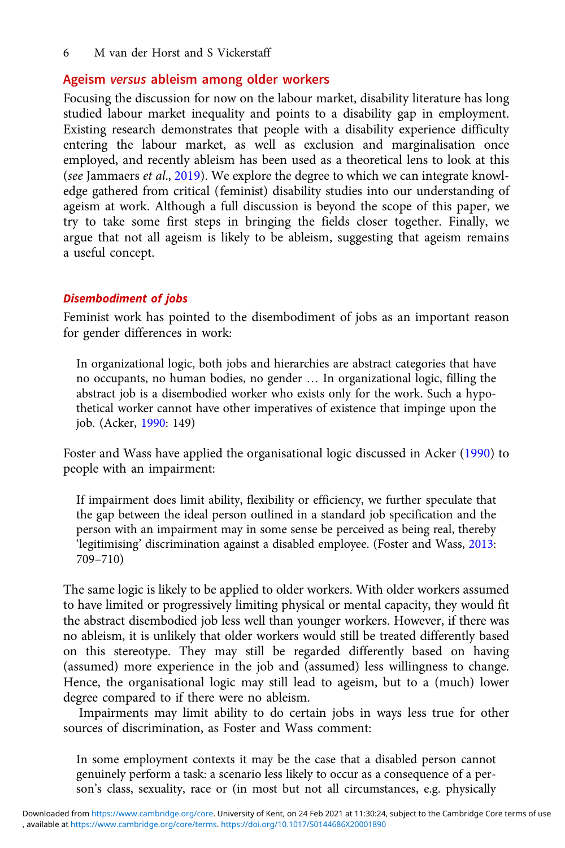#### Ageism versus ableism among older workers

Focusing the discussion for now on the labour market, disability literature has long studied labour market inequality and points to a disability gap in employment. Existing research demonstrates that people with a disability experience difficulty entering the labour market, as well as exclusion and marginalisation once employed, and recently ableism has been used as a theoretical lens to look at this (see Jammaers et al., 2019). We explore the degree to which we can integrate knowledge gathered from critical (feminist) disability studies into our understanding of ageism at work. Although a full discussion is beyond the scope of this paper, we try to take some first steps in bringing the fields closer together. Finally, we argue that not all ageism is likely to be ableism, suggesting that ageism remains a useful concept.

#### Disembodiment of jobs

Feminist work has pointed to the disembodiment of jobs as an important reason for gender differences in work:

In organizational logic, both jobs and hierarchies are abstract categories that have no occupants, no human bodies, no gender … In organizational logic, filling the abstract job is a disembodied worker who exists only for the work. Such a hypothetical worker cannot have other imperatives of existence that impinge upon the job. (Acker, 1990: 149)

Foster and Wass have applied the organisational logic discussed in Acker (1990) to people with an impairment:

If impairment does limit ability, flexibility or efficiency, we further speculate that the gap between the ideal person outlined in a standard job specification and the person with an impairment may in some sense be perceived as being real, thereby 'legitimising' discrimination against a disabled employee. (Foster and Wass, 2013: 709–710)

The same logic is likely to be applied to older workers. With older workers assumed to have limited or progressively limiting physical or mental capacity, they would fit the abstract disembodied job less well than younger workers. However, if there was no ableism, it is unlikely that older workers would still be treated differently based on this stereotype. They may still be regarded differently based on having (assumed) more experience in the job and (assumed) less willingness to change. Hence, the organisational logic may still lead to ageism, but to a (much) lower degree compared to if there were no ableism.

Impairments may limit ability to do certain jobs in ways less true for other sources of discrimination, as Foster and Wass comment:

In some employment contexts it may be the case that a disabled person cannot genuinely perform a task: a scenario less likely to occur as a consequence of a person's class, sexuality, race or (in most but not all circumstances, e.g. physically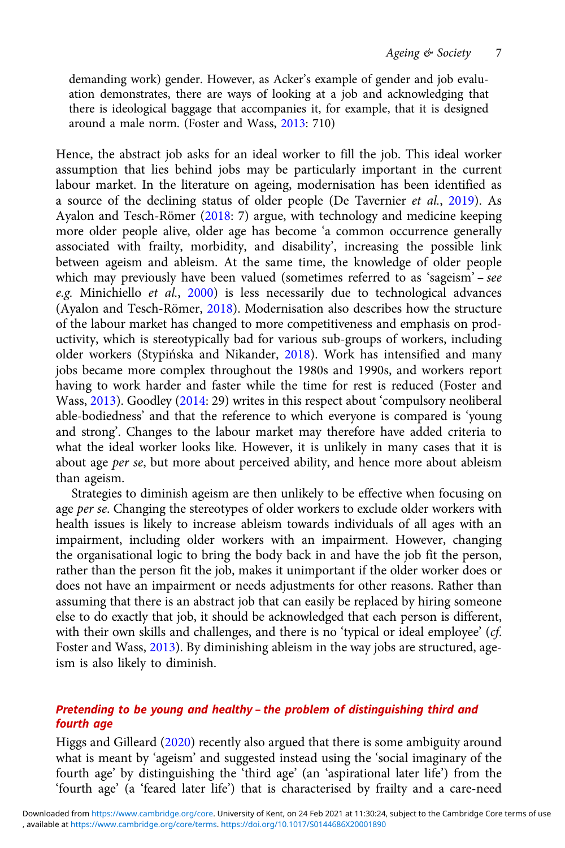demanding work) gender. However, as Acker's example of gender and job evaluation demonstrates, there are ways of looking at a job and acknowledging that there is ideological baggage that accompanies it, for example, that it is designed around a male norm. (Foster and Wass, 2013: 710)

Hence, the abstract job asks for an ideal worker to fill the job. This ideal worker assumption that lies behind jobs may be particularly important in the current labour market. In the literature on ageing, modernisation has been identified as a source of the declining status of older people (De Tavernier et al., 2019). As Ayalon and Tesch-Römer (2018: 7) argue, with technology and medicine keeping more older people alive, older age has become 'a common occurrence generally associated with frailty, morbidity, and disability', increasing the possible link between ageism and ableism. At the same time, the knowledge of older people which may previously have been valued (sometimes referred to as 'sageism' – see e.g. Minichiello et al., 2000) is less necessarily due to technological advances (Ayalon and Tesch-Römer, 2018). Modernisation also describes how the structure of the labour market has changed to more competitiveness and emphasis on productivity, which is stereotypically bad for various sub-groups of workers, including older workers (Stypińska and Nikander, 2018). Work has intensified and many jobs became more complex throughout the 1980s and 1990s, and workers report having to work harder and faster while the time for rest is reduced (Foster and Wass, 2013). Goodley (2014: 29) writes in this respect about 'compulsory neoliberal able-bodiedness' and that the reference to which everyone is compared is 'young and strong'. Changes to the labour market may therefore have added criteria to what the ideal worker looks like. However, it is unlikely in many cases that it is about age per se, but more about perceived ability, and hence more about ableism than ageism.

Strategies to diminish ageism are then unlikely to be effective when focusing on age per se. Changing the stereotypes of older workers to exclude older workers with health issues is likely to increase ableism towards individuals of all ages with an impairment, including older workers with an impairment. However, changing the organisational logic to bring the body back in and have the job fit the person, rather than the person fit the job, makes it unimportant if the older worker does or does not have an impairment or needs adjustments for other reasons. Rather than assuming that there is an abstract job that can easily be replaced by hiring someone else to do exactly that job, it should be acknowledged that each person is different, with their own skills and challenges, and there is no 'typical or ideal employee' (cf. Foster and Wass, 2013). By diminishing ableism in the way jobs are structured, ageism is also likely to diminish.

#### Pretending to be young and healthy – the problem of distinguishing third and fourth age

Higgs and Gilleard (2020) recently also argued that there is some ambiguity around what is meant by 'ageism' and suggested instead using the 'social imaginary of the fourth age' by distinguishing the 'third age' (an 'aspirational later life') from the 'fourth age' (a 'feared later life') that is characterised by frailty and a care-need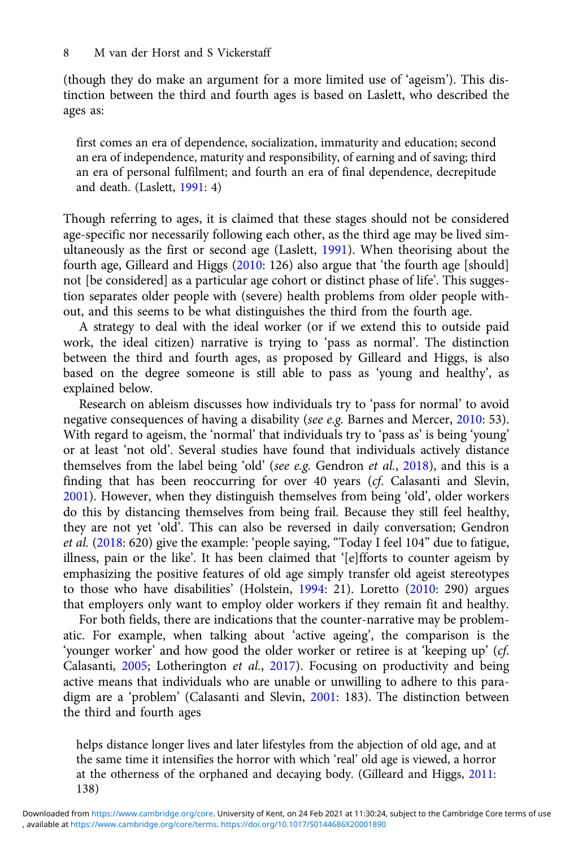(though they do make an argument for a more limited use of 'ageism'). This distinction between the third and fourth ages is based on Laslett, who described the ages as:

first comes an era of dependence, socialization, immaturity and education; second an era of independence, maturity and responsibility, of earning and of saving; third an era of personal fulfilment; and fourth an era of final dependence, decrepitude and death. (Laslett, 1991: 4)

Though referring to ages, it is claimed that these stages should not be considered age-specific nor necessarily following each other, as the third age may be lived simultaneously as the first or second age (Laslett, 1991). When theorising about the fourth age, Gilleard and Higgs (2010: 126) also argue that 'the fourth age [should] not [be considered] as a particular age cohort or distinct phase of life'. This suggestion separates older people with (severe) health problems from older people without, and this seems to be what distinguishes the third from the fourth age.

A strategy to deal with the ideal worker (or if we extend this to outside paid work, the ideal citizen) narrative is trying to 'pass as normal'. The distinction between the third and fourth ages, as proposed by Gilleard and Higgs, is also based on the degree someone is still able to pass as 'young and healthy', as explained below.

Research on ableism discusses how individuals try to 'pass for normal' to avoid negative consequences of having a disability (see e.g. Barnes and Mercer, 2010: 53). With regard to ageism, the 'normal' that individuals try to 'pass as' is being 'young' or at least 'not old'. Several studies have found that individuals actively distance themselves from the label being 'old' (see e.g. Gendron et al., 2018), and this is a finding that has been reoccurring for over 40 years (cf. Calasanti and Slevin, 2001). However, when they distinguish themselves from being 'old', older workers do this by distancing themselves from being frail. Because they still feel healthy, they are not yet 'old'. This can also be reversed in daily conversation; Gendron et al. (2018: 620) give the example: 'people saying, "Today I feel 104" due to fatigue, illness, pain or the like'. It has been claimed that '[e]fforts to counter ageism by emphasizing the positive features of old age simply transfer old ageist stereotypes to those who have disabilities' (Holstein, 1994: 21). Loretto (2010: 290) argues that employers only want to employ older workers if they remain fit and healthy.

For both fields, there are indications that the counter-narrative may be problematic. For example, when talking about 'active ageing', the comparison is the 'younger worker' and how good the older worker or retiree is at 'keeping up' (cf. Calasanti, 2005; Lotherington et al., 2017). Focusing on productivity and being active means that individuals who are unable or unwilling to adhere to this paradigm are a 'problem' (Calasanti and Slevin, 2001: 183). The distinction between the third and fourth ages

helps distance longer lives and later lifestyles from the abjection of old age, and at the same time it intensifies the horror with which 'real' old age is viewed, a horror at the otherness of the orphaned and decaying body. (Gilleard and Higgs, 2011: 138)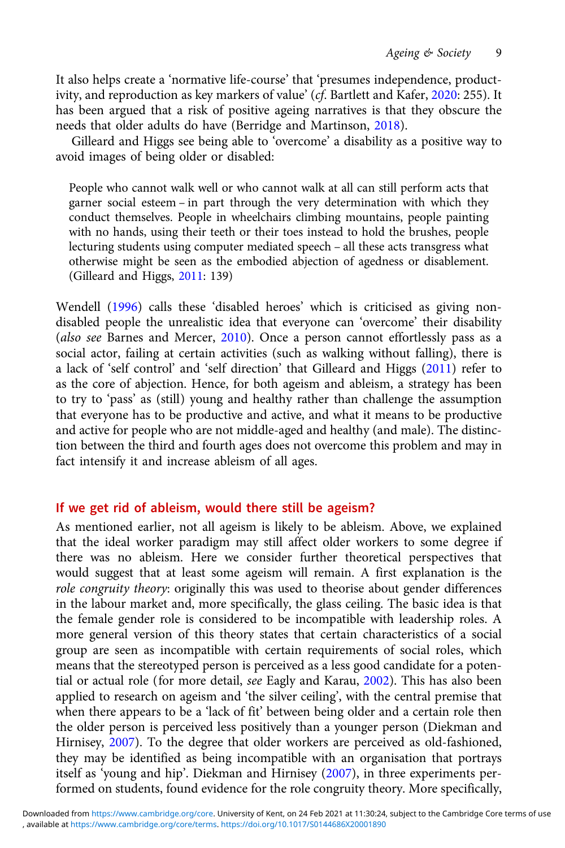It also helps create a 'normative life-course' that 'presumes independence, productivity, and reproduction as key markers of value' (cf. Bartlett and Kafer, 2020: 255). It has been argued that a risk of positive ageing narratives is that they obscure the needs that older adults do have (Berridge and Martinson, 2018).

Gilleard and Higgs see being able to 'overcome' a disability as a positive way to avoid images of being older or disabled:

People who cannot walk well or who cannot walk at all can still perform acts that garner social esteem – in part through the very determination with which they conduct themselves. People in wheelchairs climbing mountains, people painting with no hands, using their teeth or their toes instead to hold the brushes, people lecturing students using computer mediated speech – all these acts transgress what otherwise might be seen as the embodied abjection of agedness or disablement. (Gilleard and Higgs, 2011: 139)

Wendell (1996) calls these 'disabled heroes' which is criticised as giving nondisabled people the unrealistic idea that everyone can 'overcome' their disability (also see Barnes and Mercer, 2010). Once a person cannot effortlessly pass as a social actor, failing at certain activities (such as walking without falling), there is a lack of 'self control' and 'self direction' that Gilleard and Higgs (2011) refer to as the core of abjection. Hence, for both ageism and ableism, a strategy has been to try to 'pass' as (still) young and healthy rather than challenge the assumption that everyone has to be productive and active, and what it means to be productive and active for people who are not middle-aged and healthy (and male). The distinction between the third and fourth ages does not overcome this problem and may in fact intensify it and increase ableism of all ages.

#### If we get rid of ableism, would there still be ageism?

As mentioned earlier, not all ageism is likely to be ableism. Above, we explained that the ideal worker paradigm may still affect older workers to some degree if there was no ableism. Here we consider further theoretical perspectives that would suggest that at least some ageism will remain. A first explanation is the role congruity theory: originally this was used to theorise about gender differences in the labour market and, more specifically, the glass ceiling. The basic idea is that the female gender role is considered to be incompatible with leadership roles. A more general version of this theory states that certain characteristics of a social group are seen as incompatible with certain requirements of social roles, which means that the stereotyped person is perceived as a less good candidate for a potential or actual role (for more detail, see Eagly and Karau, 2002). This has also been applied to research on ageism and 'the silver ceiling', with the central premise that when there appears to be a 'lack of fit' between being older and a certain role then the older person is perceived less positively than a younger person (Diekman and Hirnisey, 2007). To the degree that older workers are perceived as old-fashioned, they may be identified as being incompatible with an organisation that portrays itself as 'young and hip'. Diekman and Hirnisey (2007), in three experiments performed on students, found evidence for the role congruity theory. More specifically,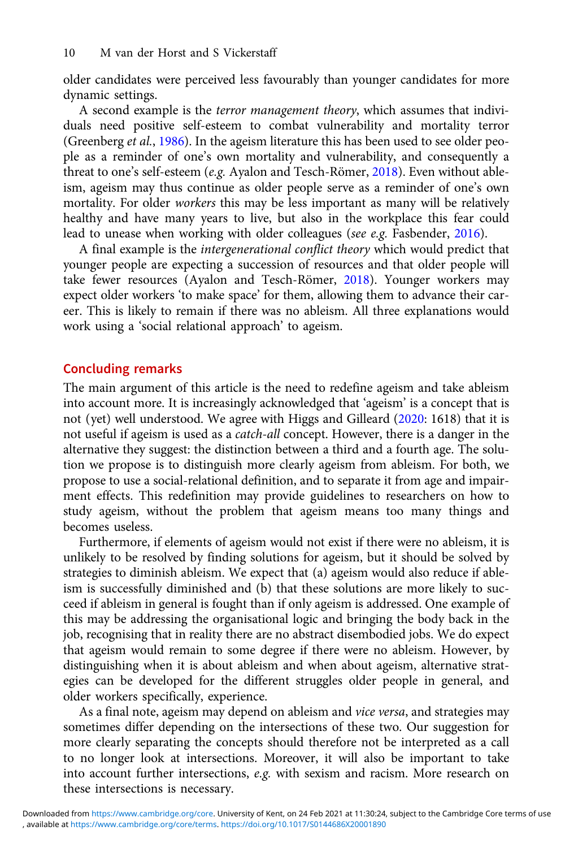older candidates were perceived less favourably than younger candidates for more dynamic settings.

A second example is the terror management theory, which assumes that individuals need positive self-esteem to combat vulnerability and mortality terror (Greenberg et al., 1986). In the ageism literature this has been used to see older people as a reminder of one's own mortality and vulnerability, and consequently a threat to one's self-esteem (e.g. Ayalon and Tesch-Römer, 2018). Even without ableism, ageism may thus continue as older people serve as a reminder of one's own mortality. For older workers this may be less important as many will be relatively healthy and have many years to live, but also in the workplace this fear could lead to unease when working with older colleagues (see e.g. Fasbender, 2016).

A final example is the intergenerational conflict theory which would predict that younger people are expecting a succession of resources and that older people will take fewer resources (Ayalon and Tesch-Römer, 2018). Younger workers may expect older workers 'to make space' for them, allowing them to advance their career. This is likely to remain if there was no ableism. All three explanations would work using a 'social relational approach' to ageism.

#### Concluding remarks

The main argument of this article is the need to redefine ageism and take ableism into account more. It is increasingly acknowledged that 'ageism' is a concept that is not (yet) well understood. We agree with Higgs and Gilleard (2020: 1618) that it is not useful if ageism is used as a catch-all concept. However, there is a danger in the alternative they suggest: the distinction between a third and a fourth age. The solution we propose is to distinguish more clearly ageism from ableism. For both, we propose to use a social-relational definition, and to separate it from age and impairment effects. This redefinition may provide guidelines to researchers on how to study ageism, without the problem that ageism means too many things and becomes useless.

Furthermore, if elements of ageism would not exist if there were no ableism, it is unlikely to be resolved by finding solutions for ageism, but it should be solved by strategies to diminish ableism. We expect that (a) ageism would also reduce if ableism is successfully diminished and (b) that these solutions are more likely to succeed if ableism in general is fought than if only ageism is addressed. One example of this may be addressing the organisational logic and bringing the body back in the job, recognising that in reality there are no abstract disembodied jobs. We do expect that ageism would remain to some degree if there were no ableism. However, by distinguishing when it is about ableism and when about ageism, alternative strategies can be developed for the different struggles older people in general, and older workers specifically, experience.

As a final note, ageism may depend on ableism and vice versa, and strategies may sometimes differ depending on the intersections of these two. Our suggestion for more clearly separating the concepts should therefore not be interpreted as a call to no longer look at intersections. Moreover, it will also be important to take into account further intersections, e.g. with sexism and racism. More research on these intersections is necessary.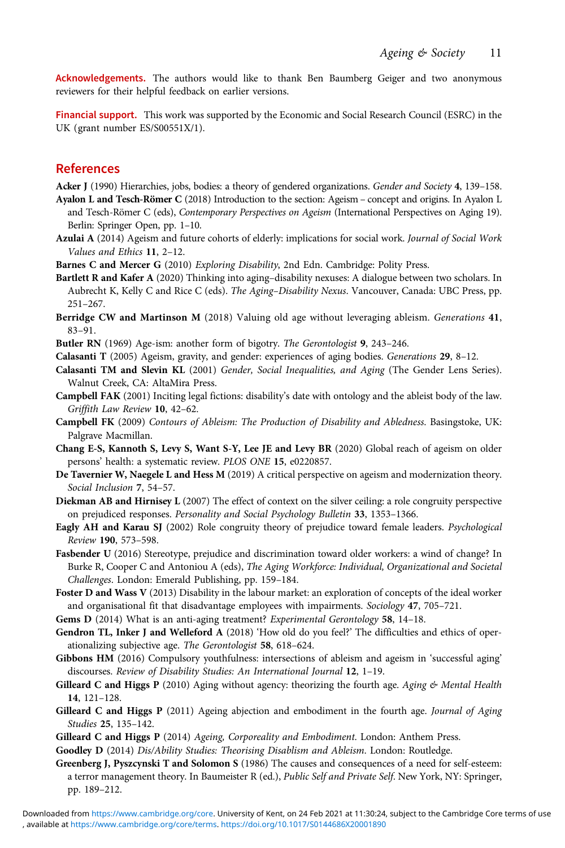Acknowledgements. The authors would like to thank Ben Baumberg Geiger and two anonymous reviewers for their helpful feedback on earlier versions.

Financial support. This work was supported by the Economic and Social Research Council (ESRC) in the UK (grant number ES/S00551X/1).

#### References

Acker J (1990) Hierarchies, jobs, bodies: a theory of gendered organizations. Gender and Society 4, 139-158.

- Ayalon L and Tesch-Römer C (2018) Introduction to the section: Ageism concept and origins. In Ayalon L and Tesch-Römer C (eds), Contemporary Perspectives on Ageism (International Perspectives on Aging 19). Berlin: Springer Open, pp. 1–10.
- Azulai A (2014) Ageism and future cohorts of elderly: implications for social work. Journal of Social Work Values and Ethics 11, 2–12.
- Barnes C and Mercer G (2010) Exploring Disability, 2nd Edn. Cambridge: Polity Press.
- Bartlett R and Kafer A (2020) Thinking into aging–disability nexuses: A dialogue between two scholars. In Aubrecht K, Kelly C and Rice C (eds). The Aging–Disability Nexus. Vancouver, Canada: UBC Press, pp. 251–267.
- Berridge CW and Martinson M (2018) Valuing old age without leveraging ableism. Generations 41, 83–91.
- Butler RN (1969) Age-ism: another form of bigotry. The Gerontologist 9, 243–246.
- Calasanti T (2005) Ageism, gravity, and gender: experiences of aging bodies. Generations 29, 8–12.
- Calasanti TM and Slevin KL (2001) Gender, Social Inequalities, and Aging (The Gender Lens Series). Walnut Creek, CA: AltaMira Press.
- Campbell FAK (2001) Inciting legal fictions: disability's date with ontology and the ableist body of the law. Griffith Law Review 10, 42–62.
- Campbell FK (2009) Contours of Ableism: The Production of Disability and Abledness. Basingstoke, UK: Palgrave Macmillan.
- Chang E-S, Kannoth S, Levy S, Want S-Y, Lee JE and Levy BR (2020) Global reach of ageism on older persons' health: a systematic review. PLOS ONE 15, e0220857.
- De Tavernier W, Naegele L and Hess M (2019) A critical perspective on ageism and modernization theory. Social Inclusion 7, 54–57.
- Diekman AB and Hirnisey L (2007) The effect of context on the silver ceiling: a role congruity perspective on prejudiced responses. Personality and Social Psychology Bulletin 33, 1353–1366.
- Eagly AH and Karau SJ (2002) Role congruity theory of prejudice toward female leaders. Psychological Review 190, 573–598.
- Fasbender U (2016) Stereotype, prejudice and discrimination toward older workers: a wind of change? In Burke R, Cooper C and Antoniou A (eds), The Aging Workforce: Individual, Organizational and Societal Challenges. London: Emerald Publishing, pp. 159–184.
- Foster D and Wass V (2013) Disability in the labour market: an exploration of concepts of the ideal worker and organisational fit that disadvantage employees with impairments. Sociology 47, 705–721.
- Gems D (2014) What is an anti-aging treatment? Experimental Gerontology 58, 14-18.
- Gendron TL, Inker J and Welleford A (2018) 'How old do you feel?' The difficulties and ethics of operationalizing subjective age. The Gerontologist 58, 618–624.
- Gibbons HM (2016) Compulsory youthfulness: intersections of ableism and ageism in 'successful aging' discourses. Review of Disability Studies: An International Journal 12, 1–19.
- Gilleard C and Higgs P (2010) Aging without agency: theorizing the fourth age. Aging  $\&$  Mental Health 14, 121–128.
- Gilleard C and Higgs P (2011) Ageing abjection and embodiment in the fourth age. Journal of Aging Studies 25, 135–142.
- Gilleard C and Higgs P (2014) Ageing, Corporeality and Embodiment. London: Anthem Press.
- Goodley D (2014) Dis/Ability Studies: Theorising Disablism and Ableism. London: Routledge.
- Greenberg J, Pyszcynski T and Solomon S (1986) The causes and consequences of a need for self-esteem: a terror management theory. In Baumeister R (ed.), Public Self and Private Self. New York, NY: Springer, pp. 189–212.